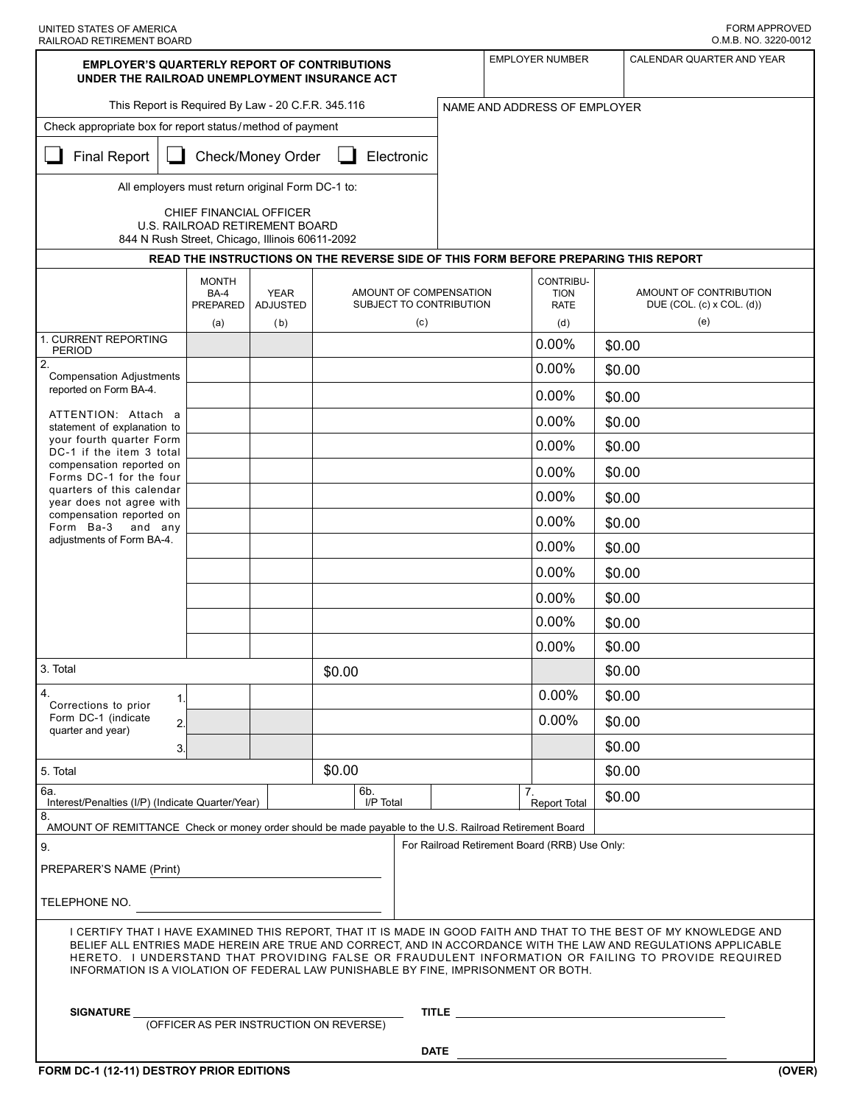| UNITED STATES OF AMERICA  |  |
|---------------------------|--|
| RAILROAD RETIREMENT BOARD |  |

| <b>EMPLOYER'S QUARTERLY REPORT OF CONTRIBUTIONS</b><br>UNDER THE RAILROAD UNEMPLOYMENT INSURANCE ACT                                                                                                                                                                                                                                                                                                                              |                                         |                                |        |                                                   |                              | <b>EMPLOYER NUMBER</b><br>CALENDAR QUARTER AND YEAR |                                               |                                                            |        |  |  |
|-----------------------------------------------------------------------------------------------------------------------------------------------------------------------------------------------------------------------------------------------------------------------------------------------------------------------------------------------------------------------------------------------------------------------------------|-----------------------------------------|--------------------------------|--------|---------------------------------------------------|------------------------------|-----------------------------------------------------|-----------------------------------------------|------------------------------------------------------------|--------|--|--|
| This Report is Required By Law - 20 C.F.R. 345.116                                                                                                                                                                                                                                                                                                                                                                                |                                         |                                |        |                                                   | NAME AND ADDRESS OF EMPLOYER |                                                     |                                               |                                                            |        |  |  |
| Check appropriate box for report status/method of payment                                                                                                                                                                                                                                                                                                                                                                         |                                         |                                |        |                                                   |                              |                                                     |                                               |                                                            |        |  |  |
| <b>Final Report</b>                                                                                                                                                                                                                                                                                                                                                                                                               |                                         | Check/Money Order              |        | Electronic                                        |                              |                                                     |                                               |                                                            |        |  |  |
| All employers must return original Form DC-1 to:                                                                                                                                                                                                                                                                                                                                                                                  |                                         |                                |        |                                                   |                              |                                                     |                                               |                                                            |        |  |  |
| CHIEF FINANCIAL OFFICER                                                                                                                                                                                                                                                                                                                                                                                                           |                                         |                                |        |                                                   |                              |                                                     |                                               |                                                            |        |  |  |
| U.S. RAILROAD RETIREMENT BOARD<br>844 N Rush Street, Chicago, Illinois 60611-2092                                                                                                                                                                                                                                                                                                                                                 |                                         |                                |        |                                                   |                              |                                                     |                                               |                                                            |        |  |  |
| READ THE INSTRUCTIONS ON THE REVERSE SIDE OF THIS FORM BEFORE PREPARING THIS REPORT                                                                                                                                                                                                                                                                                                                                               |                                         |                                |        |                                                   |                              |                                                     |                                               |                                                            |        |  |  |
|                                                                                                                                                                                                                                                                                                                                                                                                                                   | <b>MONTH</b><br><b>BA-4</b><br>PREPARED | <b>YEAR</b><br><b>ADJUSTED</b> |        | AMOUNT OF COMPENSATION<br>SUBJECT TO CONTRIBUTION |                              |                                                     | CONTRIBU-<br><b>TION</b><br><b>RATE</b>       | AMOUNT OF CONTRIBUTION<br>DUE $(COL. (c) \times COL. (d))$ |        |  |  |
| 1. CURRENT REPORTING                                                                                                                                                                                                                                                                                                                                                                                                              | (a)                                     | (b)                            |        | (c)                                               |                              |                                                     | (d)                                           |                                                            | (e)    |  |  |
| <b>PERIOD</b>                                                                                                                                                                                                                                                                                                                                                                                                                     |                                         |                                |        |                                                   |                              |                                                     | 0.00%                                         | \$0.00                                                     |        |  |  |
| 2.<br><b>Compensation Adjustments</b>                                                                                                                                                                                                                                                                                                                                                                                             |                                         |                                |        |                                                   |                              |                                                     | 0.00%                                         | \$0.00                                                     |        |  |  |
| reported on Form BA-4.                                                                                                                                                                                                                                                                                                                                                                                                            |                                         |                                |        |                                                   |                              |                                                     | 0.00%                                         | \$0.00                                                     |        |  |  |
| ATTENTION: Attach a<br>statement of explanation to                                                                                                                                                                                                                                                                                                                                                                                |                                         |                                |        |                                                   |                              |                                                     | 0.00%                                         | \$0.00                                                     |        |  |  |
| your fourth quarter Form<br>DC-1 if the item 3 total                                                                                                                                                                                                                                                                                                                                                                              |                                         |                                |        |                                                   |                              |                                                     | 0.00%                                         | \$0.00                                                     |        |  |  |
| compensation reported on<br>Forms DC-1 for the four                                                                                                                                                                                                                                                                                                                                                                               |                                         |                                |        |                                                   |                              |                                                     | 0.00%                                         | \$0.00                                                     |        |  |  |
| quarters of this calendar<br>year does not agree with                                                                                                                                                                                                                                                                                                                                                                             |                                         |                                |        |                                                   |                              |                                                     | 0.00%                                         | \$0.00                                                     |        |  |  |
| compensation reported on<br>Form Ba-3<br>and any                                                                                                                                                                                                                                                                                                                                                                                  |                                         |                                |        |                                                   |                              |                                                     | 0.00%                                         | \$0.00                                                     |        |  |  |
| adjustments of Form BA-4.                                                                                                                                                                                                                                                                                                                                                                                                         |                                         |                                |        |                                                   |                              |                                                     | 0.00%                                         | \$0.00                                                     |        |  |  |
|                                                                                                                                                                                                                                                                                                                                                                                                                                   |                                         |                                |        |                                                   |                              |                                                     | 0.00%                                         | \$0.00                                                     |        |  |  |
|                                                                                                                                                                                                                                                                                                                                                                                                                                   |                                         |                                |        |                                                   |                              |                                                     | 0.00%                                         | \$0.00                                                     |        |  |  |
|                                                                                                                                                                                                                                                                                                                                                                                                                                   |                                         |                                |        |                                                   |                              |                                                     | 0.00%                                         | \$0.00                                                     |        |  |  |
|                                                                                                                                                                                                                                                                                                                                                                                                                                   |                                         |                                |        |                                                   |                              |                                                     | 0.00%                                         | \$0.00                                                     |        |  |  |
| 3. Total                                                                                                                                                                                                                                                                                                                                                                                                                          |                                         |                                | \$0.00 |                                                   |                              |                                                     |                                               | \$0.00                                                     |        |  |  |
| 4.<br>1.                                                                                                                                                                                                                                                                                                                                                                                                                          |                                         |                                |        |                                                   |                              |                                                     | 0.00%                                         | \$0.00                                                     |        |  |  |
| Corrections to prior<br>Form DC-1 (indicate<br>2.                                                                                                                                                                                                                                                                                                                                                                                 |                                         |                                |        |                                                   |                              | $0.00\%$                                            |                                               |                                                            | \$0.00 |  |  |
| quarter and year)<br>3.                                                                                                                                                                                                                                                                                                                                                                                                           |                                         |                                |        |                                                   |                              |                                                     |                                               | \$0.00                                                     |        |  |  |
| 5. Total                                                                                                                                                                                                                                                                                                                                                                                                                          |                                         |                                | \$0.00 |                                                   |                              |                                                     |                                               | \$0.00                                                     |        |  |  |
| 6а.<br>Interest/Penalties (I/P) (Indicate Quarter/Year)                                                                                                                                                                                                                                                                                                                                                                           |                                         |                                |        | 6b.<br>I/P Total                                  |                              | 7.                                                  | <b>Report Total</b>                           | \$0.00                                                     |        |  |  |
| 8.<br>AMOUNT OF REMITTANCE Check or money order should be made payable to the U.S. Railroad Retirement Board                                                                                                                                                                                                                                                                                                                      |                                         |                                |        |                                                   |                              |                                                     |                                               |                                                            |        |  |  |
| 9.                                                                                                                                                                                                                                                                                                                                                                                                                                |                                         |                                |        |                                                   |                              |                                                     | For Railroad Retirement Board (RRB) Use Only: |                                                            |        |  |  |
| PREPARER'S NAME (Print)                                                                                                                                                                                                                                                                                                                                                                                                           |                                         |                                |        |                                                   |                              |                                                     |                                               |                                                            |        |  |  |
| TELEPHONE NO.                                                                                                                                                                                                                                                                                                                                                                                                                     |                                         |                                |        |                                                   |                              |                                                     |                                               |                                                            |        |  |  |
| I CERTIFY THAT I HAVE EXAMINED THIS REPORT. THAT IT IS MADE IN GOOD FAITH AND THAT TO THE BEST OF MY KNOWLEDGE AND<br>BELIEF ALL ENTRIES MADE HEREIN ARE TRUE AND CORRECT, AND IN ACCORDANCE WITH THE LAW AND REGULATIONS APPLICABLE<br>HERETO. I UNDERSTAND THAT PROVIDING FALSE OR FRAUDULENT INFORMATION OR FAILING TO PROVIDE REQUIRED<br>INFORMATION IS A VIOLATION OF FEDERAL LAW PUNISHABLE BY FINE, IMPRISONMENT OR BOTH. |                                         |                                |        |                                                   |                              |                                                     |                                               |                                                            |        |  |  |
| <b>TITLE</b> TITLE THE STATE OF THE STATE OF THE STATE OF THE STATE OF THE STATE OF THE STATE OF THE STATE OF THE STATE OF THE STATE OF THE STATE OF THE STATE OF THE STATE OF THE STATE OF THE STATE OF THE STATE OF THE STATE OF<br><b>SIGNATURE</b><br>(OFFICER AS PER INSTRUCTION ON REVERSE)                                                                                                                                 |                                         |                                |        |                                                   |                              |                                                     |                                               |                                                            |        |  |  |
|                                                                                                                                                                                                                                                                                                                                                                                                                                   | <b>DATE</b>                             |                                |        |                                                   |                              |                                                     |                                               |                                                            |        |  |  |
| FORM DC-1 (12-11) DESTROY PRIOR EDITIONS                                                                                                                                                                                                                                                                                                                                                                                          |                                         |                                |        |                                                   |                              |                                                     |                                               |                                                            | (OVER) |  |  |